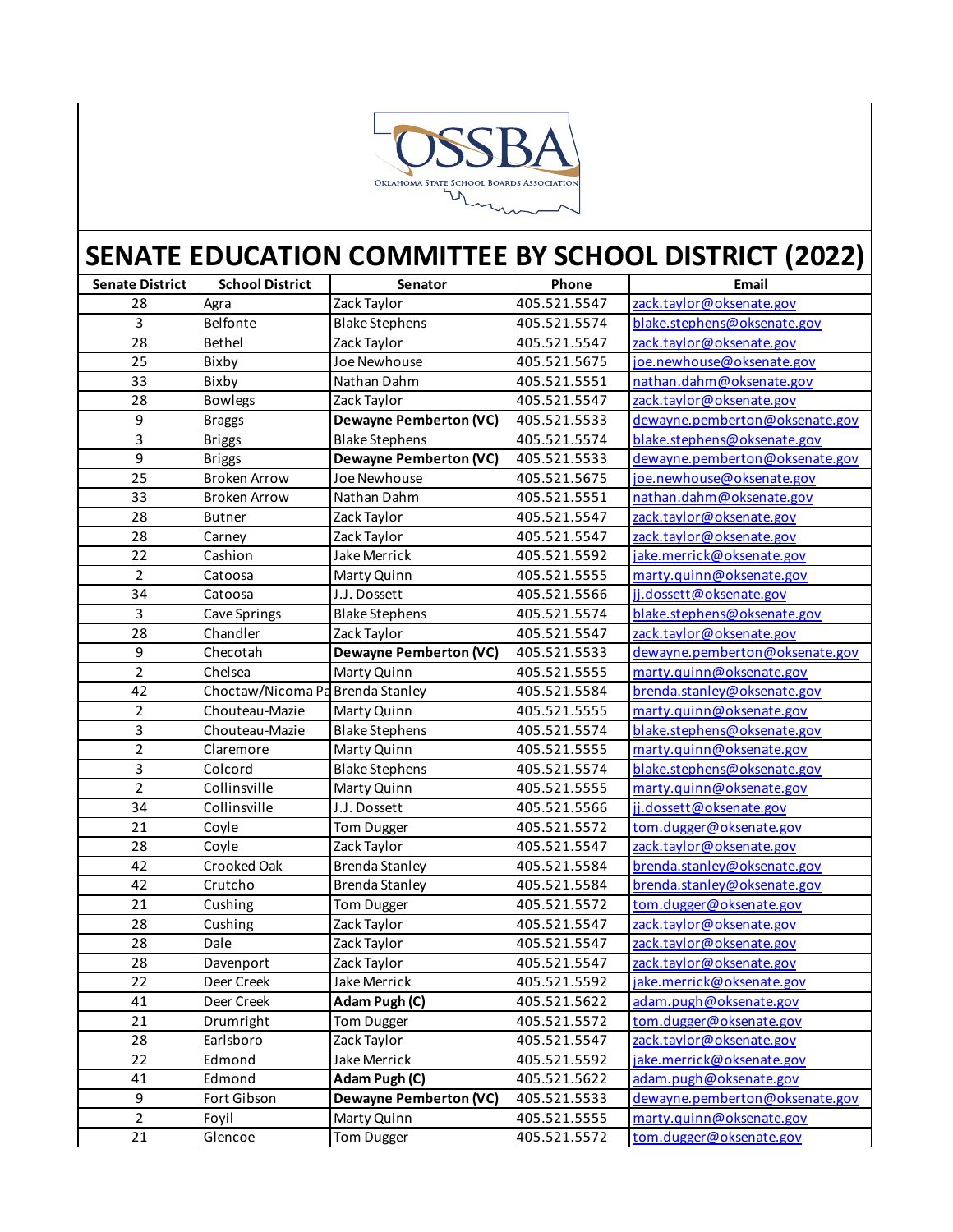

| <b>Senate District</b> | <b>School District</b>           | Senator                       | Phone        | Email                          |
|------------------------|----------------------------------|-------------------------------|--------------|--------------------------------|
| 28                     | Agra                             | Zack Taylor                   | 405.521.5547 | zack.taylor@oksenate.gov       |
| 3                      | Belfonte                         | <b>Blake Stephens</b>         | 405.521.5574 | blake.stephens@oksenate.gov    |
| 28                     | Bethel                           | Zack Taylor                   | 405.521.5547 | zack.taylor@oksenate.gov       |
| 25                     | Bixby                            | Joe Newhouse                  | 405.521.5675 | joe.newhouse@oksenate.gov      |
| 33                     | Bixby                            | Nathan Dahm                   | 405.521.5551 | nathan.dahm@oksenate.gov       |
| 28                     | <b>Bowlegs</b>                   | Zack Taylor                   | 405.521.5547 | zack.taylor@oksenate.gov       |
| $\boldsymbol{9}$       | <b>Braggs</b>                    | <b>Dewayne Pemberton (VC)</b> | 405.521.5533 | dewayne.pemberton@oksenate.gov |
| 3                      | <b>Briggs</b>                    | <b>Blake Stephens</b>         | 405.521.5574 | blake.stephens@oksenate.gov    |
| 9                      | <b>Briggs</b>                    | <b>Dewayne Pemberton (VC)</b> | 405.521.5533 | dewayne.pemberton@oksenate.gov |
| 25                     | <b>Broken Arrow</b>              | Joe Newhouse                  | 405.521.5675 | joe.newhouse@oksenate.gov      |
| 33                     | <b>Broken Arrow</b>              | Nathan Dahm                   | 405.521.5551 | nathan.dahm@oksenate.gov       |
| 28                     | <b>Butner</b>                    | Zack Taylor                   | 405.521.5547 | zack.taylor@oksenate.gov       |
| 28                     | Carney                           | Zack Taylor                   | 405.521.5547 | zack.taylor@oksenate.gov       |
| 22                     | Cashion                          | Jake Merrick                  | 405.521.5592 | jake.merrick@oksenate.gov      |
| $\mathbf 2$            | Catoosa                          | Marty Quinn                   | 405.521.5555 | marty.quinn@oksenate.gov       |
| 34                     | Catoosa                          | J.J. Dossett                  | 405.521.5566 | jj.dossett@oksenate.gov        |
| 3                      | Cave Springs                     | <b>Blake Stephens</b>         | 405.521.5574 | blake.stephens@oksenate.gov    |
| 28                     | Chandler                         | Zack Taylor                   | 405.521.5547 | zack.taylor@oksenate.gov       |
| 9                      | Checotah                         | <b>Dewayne Pemberton (VC)</b> | 405.521.5533 | dewayne.pemberton@oksenate.gov |
| $\overline{2}$         | Chelsea                          | Marty Quinn                   | 405.521.5555 | marty.quinn@oksenate.gov       |
| 42                     | Choctaw/Nicoma Pa Brenda Stanley |                               | 405.521.5584 | brenda.stanley@oksenate.gov    |
| $\overline{2}$         | Chouteau-Mazie                   | Marty Quinn                   | 405.521.5555 | marty.quinn@oksenate.gov       |
| 3                      | Chouteau-Mazie                   | <b>Blake Stephens</b>         | 405.521.5574 | blake.stephens@oksenate.gov    |
| $\overline{2}$         | Claremore                        | Marty Quinn                   | 405.521.5555 | marty.quinn@oksenate.gov       |
| 3                      | Colcord                          | <b>Blake Stephens</b>         | 405.521.5574 | blake.stephens@oksenate.gov    |
| $\overline{2}$         | Collinsville                     | Marty Quinn                   | 405.521.5555 | marty.quinn@oksenate.gov       |
| 34                     | Collinsville                     | J.J. Dossett                  | 405.521.5566 | jj.dossett@oksenate.gov        |
| 21                     | Coyle                            | Tom Dugger                    | 405.521.5572 | tom.dugger@oksenate.gov        |
| 28                     | Coyle                            | Zack Taylor                   | 405.521.5547 | zack.taylor@oksenate.gov       |
| 42                     | Crooked Oak                      | <b>Brenda Stanley</b>         | 405.521.5584 | brenda.stanley@oksenate.gov    |
| 42                     | Crutcho                          | <b>Brenda Stanley</b>         | 405.521.5584 | brenda.stanley@oksenate.gov    |
| 21                     | Cushing                          | Tom Dugger                    | 405.521.5572 | tom.dugger@oksenate.gov        |
| 28                     | Cushing                          | Zack Taylor                   | 405.521.5547 | zack.taylor@oksenate.gov       |
| 28                     | Dale                             | Zack Taylor                   | 405.521.5547 | zack.taylor@oksenate.gov       |
| 28                     | Davenport                        | Zack Taylor                   | 405.521.5547 | zack.taylor@oksenate.gov       |
| 22                     | Deer Creek                       | Jake Merrick                  | 405.521.5592 | jake.merrick@oksenate.gov      |
| 41                     | Deer Creek                       | Adam Pugh (C)                 | 405.521.5622 | adam.pugh@oksenate.gov         |
| 21                     | Drumright                        | <b>Tom Dugger</b>             | 405.521.5572 | tom.dugger@oksenate.gov        |
| 28                     | Earlsboro                        | Zack Taylor                   | 405.521.5547 | zack.taylor@oksenate.gov       |
| 22                     | Edmond                           | Jake Merrick                  | 405.521.5592 | jake.merrick@oksenate.gov      |
| 41                     | Edmond                           | Adam Pugh (C)                 | 405.521.5622 | adam.pugh@oksenate.gov         |
| 9                      | Fort Gibson                      | <b>Dewayne Pemberton (VC)</b> | 405.521.5533 | dewayne.pemberton@oksenate.gov |
| $\overline{a}$         | Foyil                            | Marty Quinn                   | 405.521.5555 | marty.quinn@oksenate.gov       |
| 21                     | Glencoe                          | <b>Tom Dugger</b>             | 405.521.5572 | tom.dugger@oksenate.gov        |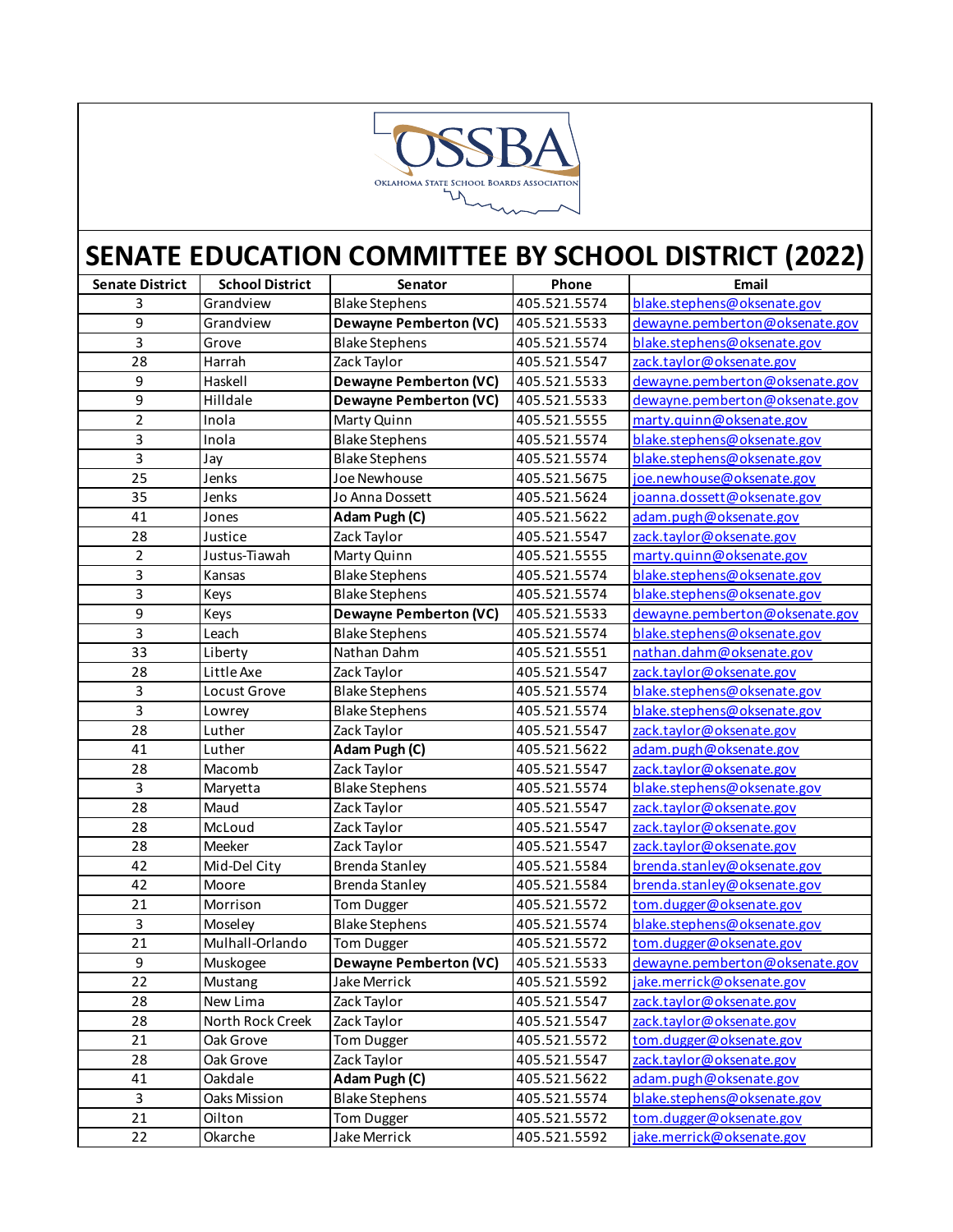

| <b>Senate District</b> | <b>School District</b> | Senator                       | Phone        | Email                          |
|------------------------|------------------------|-------------------------------|--------------|--------------------------------|
| 3                      | Grandview              | <b>Blake Stephens</b>         | 405.521.5574 | blake.stephens@oksenate.gov    |
| 9                      | Grandview              | <b>Dewayne Pemberton (VC)</b> | 405.521.5533 | dewayne.pemberton@oksenate.gov |
| 3                      | Grove                  | <b>Blake Stephens</b>         | 405.521.5574 | blake.stephens@oksenate.gov    |
| 28                     | Harrah                 | Zack Taylor                   | 405.521.5547 | zack.taylor@oksenate.gov       |
| 9                      | Haskell                | <b>Dewayne Pemberton (VC)</b> | 405.521.5533 | dewayne.pemberton@oksenate.gov |
| 9                      | Hilldale               | <b>Dewayne Pemberton (VC)</b> | 405.521.5533 | dewayne.pemberton@oksenate.gov |
| $\overline{2}$         | Inola                  | Marty Quinn                   | 405.521.5555 | marty.quinn@oksenate.gov       |
| 3                      | Inola                  | <b>Blake Stephens</b>         | 405.521.5574 | blake.stephens@oksenate.gov    |
| 3                      | Jay                    | <b>Blake Stephens</b>         | 405.521.5574 | blake.stephens@oksenate.gov    |
| $\overline{25}$        | Jenks                  | Joe Newhouse                  | 405.521.5675 | joe.newhouse@oksenate.gov      |
| 35                     | Jenks                  | Jo Anna Dossett               | 405.521.5624 | joanna.dossett@oksenate.gov    |
| 41                     | Jones                  | Adam Pugh (C)                 | 405.521.5622 | adam.pugh@oksenate.gov         |
| 28                     | Justice                | Zack Taylor                   | 405.521.5547 | zack.taylor@oksenate.gov       |
| $\overline{2}$         | Justus-Tiawah          | Marty Quinn                   | 405.521.5555 | marty.quinn@oksenate.gov       |
| 3                      | Kansas                 | <b>Blake Stephens</b>         | 405.521.5574 | blake.stephens@oksenate.gov    |
| 3                      | Keys                   | <b>Blake Stephens</b>         | 405.521.5574 | blake.stephens@oksenate.gov    |
| 9                      | Keys                   | <b>Dewayne Pemberton (VC)</b> | 405.521.5533 | dewayne.pemberton@oksenate.gov |
| 3                      | Leach                  | <b>Blake Stephens</b>         | 405.521.5574 | blake.stephens@oksenate.gov    |
| 33                     | Liberty                | Nathan Dahm                   | 405.521.5551 | nathan.dahm@oksenate.gov       |
| 28                     | Little Axe             | Zack Taylor                   | 405.521.5547 | zack.taylor@oksenate.gov       |
| 3                      | Locust Grove           | <b>Blake Stephens</b>         | 405.521.5574 | blake.stephens@oksenate.gov    |
| 3                      | Lowrey                 | <b>Blake Stephens</b>         | 405.521.5574 | blake.stephens@oksenate.gov    |
| 28                     | Luther                 | Zack Taylor                   | 405.521.5547 | zack.taylor@oksenate.gov       |
| 41                     | Luther                 | Adam Pugh (C)                 | 405.521.5622 | adam.pugh@oksenate.gov         |
| 28                     | Macomb                 | Zack Taylor                   | 405.521.5547 | zack.taylor@oksenate.gov       |
| $\overline{3}$         | Maryetta               | <b>Blake Stephens</b>         | 405.521.5574 | blake.stephens@oksenate.gov    |
| 28                     | Maud                   | Zack Taylor                   | 405.521.5547 | zack.taylor@oksenate.gov       |
| 28                     | McLoud                 | Zack Taylor                   | 405.521.5547 | zack.taylor@oksenate.gov       |
| 28                     | Meeker                 | Zack Taylor                   | 405.521.5547 | zack.taylor@oksenate.gov       |
| 42                     | Mid-Del City           | <b>Brenda Stanley</b>         | 405.521.5584 | brenda.stanley@oksenate.gov    |
| 42                     | Moore                  | <b>Brenda Stanley</b>         | 405.521.5584 | brenda.stanley@oksenate.gov    |
| 21                     | Morrison               | Tom Dugger                    | 405.521.5572 | tom.dugger@oksenate.gov        |
| 3                      | Moseley                | <b>Blake Stephens</b>         | 405.521.5574 | blake.stephens@oksenate.gov    |
| 21                     | Mulhall-Orlando        | Tom Dugger                    | 405.521.5572 | tom.dugger@oksenate.gov        |
| 9                      | Muskogee               | <b>Dewayne Pemberton (VC)</b> | 405.521.5533 | dewayne.pemberton@oksenate.gov |
| 22                     | Mustang                | Jake Merrick                  | 405.521.5592 | jake.merrick@oksenate.gov      |
| 28                     | New Lima               | Zack Taylor                   | 405.521.5547 | zack.taylor@oksenate.gov       |
| 28                     | North Rock Creek       | Zack Taylor                   | 405.521.5547 | zack.taylor@oksenate.gov       |
| 21                     | Oak Grove              | Tom Dugger                    | 405.521.5572 | tom.dugger@oksenate.gov        |
| 28                     | Oak Grove              | Zack Taylor                   | 405.521.5547 | zack.taylor@oksenate.gov       |
| 41                     | Oakdale                | Adam Pugh (C)                 | 405.521.5622 | adam.pugh@oksenate.gov         |
| 3                      | Oaks Mission           | <b>Blake Stephens</b>         | 405.521.5574 | blake.stephens@oksenate.gov    |
| 21                     | Oilton                 | <b>Tom Dugger</b>             | 405.521.5572 | tom.dugger@oksenate.gov        |
| 22                     | Okarche                | Jake Merrick                  | 405.521.5592 | jake.merrick@oksenate.gov      |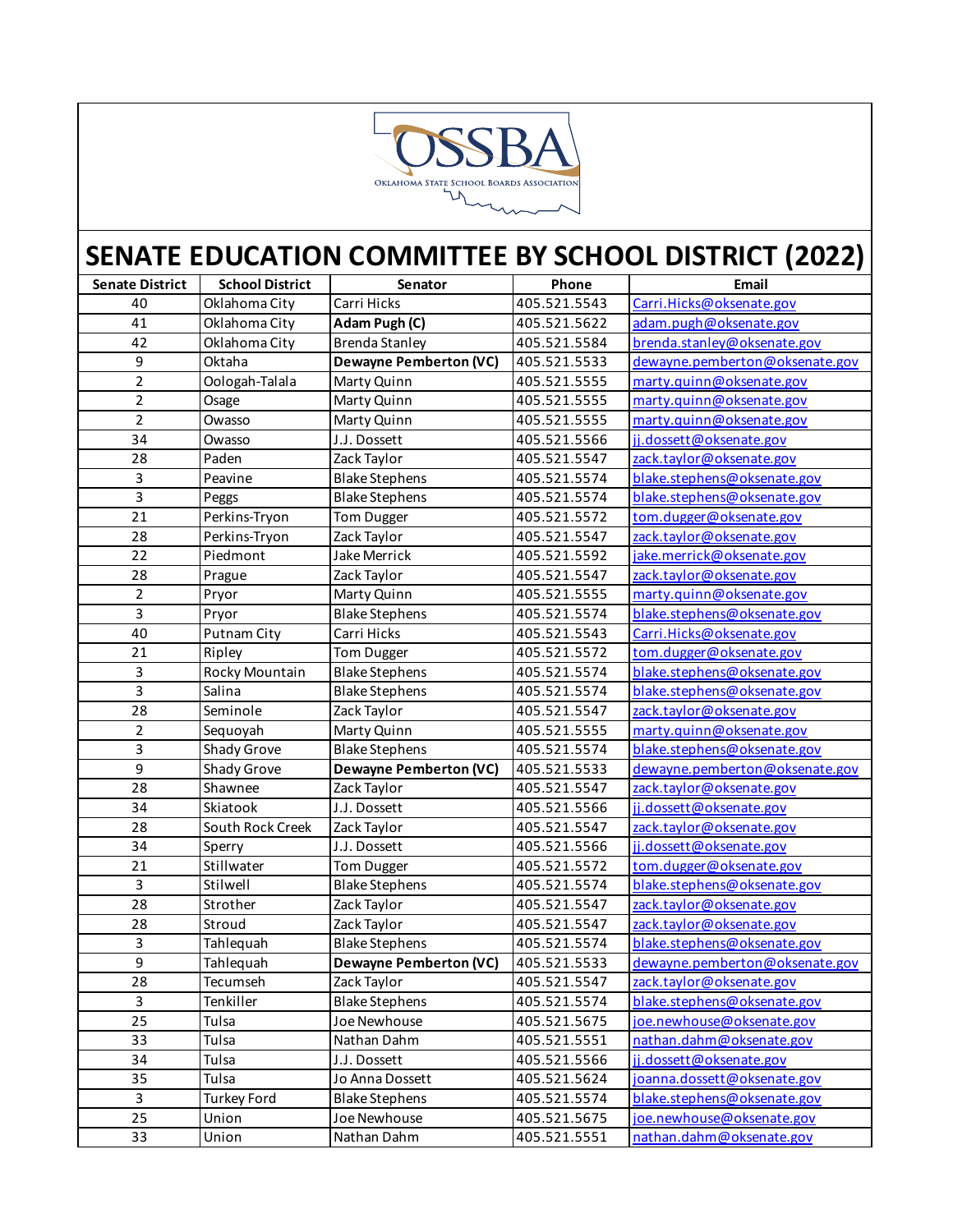

| <b>Senate District</b> | <b>School District</b> | Senator                       | Phone        | Email                          |
|------------------------|------------------------|-------------------------------|--------------|--------------------------------|
| 40                     | Oklahoma City          | Carri Hicks                   | 405.521.5543 | Carri.Hicks@oksenate.gov       |
| 41                     | Oklahoma City          | Adam Pugh (C)                 | 405.521.5622 | adam.pugh@oksenate.gov         |
| 42                     | Oklahoma City          | <b>Brenda Stanley</b>         | 405.521.5584 | brenda.stanley@oksenate.gov    |
| 9                      | Oktaha                 | <b>Dewayne Pemberton (VC)</b> | 405.521.5533 | dewayne.pemberton@oksenate.gov |
| 2                      | Oologah-Talala         | Marty Quinn                   | 405.521.5555 | marty.quinn@oksenate.gov       |
| $\overline{2}$         | Osage                  | Marty Quinn                   | 405.521.5555 | marty.quinn@oksenate.gov       |
| $\overline{2}$         | Owasso                 | Marty Quinn                   | 405.521.5555 | marty.quinn@oksenate.gov       |
| 34                     | Owasso                 | J.J. Dossett                  | 405.521.5566 | jj.dossett@oksenate.gov        |
| 28                     | Paden                  | Zack Taylor                   | 405.521.5547 | zack.taylor@oksenate.gov       |
| 3                      | Peavine                | <b>Blake Stephens</b>         | 405.521.5574 | blake.stephens@oksenate.gov    |
| 3                      | Peggs                  | <b>Blake Stephens</b>         | 405.521.5574 | blake.stephens@oksenate.gov    |
| 21                     | Perkins-Tryon          | Tom Dugger                    | 405.521.5572 | tom.dugger@oksenate.gov        |
| 28                     | Perkins-Tryon          | Zack Taylor                   | 405.521.5547 | zack.taylor@oksenate.gov       |
| 22                     | Piedmont               | Jake Merrick                  | 405.521.5592 | jake.merrick@oksenate.gov      |
| 28                     | Prague                 | Zack Taylor                   | 405.521.5547 | zack.taylor@oksenate.gov       |
| $\overline{2}$         | Pryor                  | Marty Quinn                   | 405.521.5555 | marty.quinn@oksenate.gov       |
| 3                      | Pryor                  | <b>Blake Stephens</b>         | 405.521.5574 | blake.stephens@oksenate.gov    |
| 40                     | Putnam City            | Carri Hicks                   | 405.521.5543 | Carri.Hicks@oksenate.gov       |
| 21                     | Ripley                 | Tom Dugger                    | 405.521.5572 | tom.dugger@oksenate.gov        |
| 3                      | Rocky Mountain         | <b>Blake Stephens</b>         | 405.521.5574 | blake.stephens@oksenate.gov    |
| 3                      | Salina                 | <b>Blake Stephens</b>         | 405.521.5574 | blake.stephens@oksenate.gov    |
| 28                     | Seminole               | Zack Taylor                   | 405.521.5547 | zack.taylor@oksenate.gov       |
| 2                      | Sequoyah               | Marty Quinn                   | 405.521.5555 | marty.quinn@oksenate.gov       |
| 3                      | Shady Grove            | <b>Blake Stephens</b>         | 405.521.5574 | blake.stephens@oksenate.gov    |
| $\boldsymbol{9}$       | Shady Grove            | <b>Dewayne Pemberton (VC)</b> | 405.521.5533 | dewayne.pemberton@oksenate.gov |
| 28                     | Shawnee                | Zack Taylor                   | 405.521.5547 | zack.taylor@oksenate.gov       |
| 34                     | Skiatook               | J.J. Dossett                  | 405.521.5566 | jj.dossett@oksenate.gov        |
| 28                     | South Rock Creek       | Zack Taylor                   | 405.521.5547 | zack.taylor@oksenate.gov       |
| 34                     | Sperry                 | J.J. Dossett                  | 405.521.5566 | jj.dossett@oksenate.gov        |
| 21                     | Stillwater             | Tom Dugger                    | 405.521.5572 | tom.dugger@oksenate.gov        |
| 3                      | Stilwell               | <b>Blake Stephens</b>         | 405.521.5574 | blake.stephens@oksenate.gov    |
| 28                     | Strother               | Zack Taylor                   | 405.521.5547 | zack.taylor@oksenate.gov       |
| 28                     | Stroud                 | Zack Taylor                   | 405.521.5547 | zack.taylor@oksenate.gov       |
| 3                      | Tahlequah              | <b>Blake Stephens</b>         | 405.521.5574 | blake.stephens@oksenate.gov    |
| $\overline{9}$         | Tahlequah              | <b>Dewayne Pemberton (VC)</b> | 405.521.5533 | dewayne.pemberton@oksenate.gov |
| 28                     | Tecumseh               | Zack Taylor                   | 405.521.5547 | zack.taylor@oksenate.gov       |
| 3                      | Tenkiller              | <b>Blake Stephens</b>         | 405.521.5574 | blake.stephens@oksenate.gov    |
| 25                     | Tulsa                  | Joe Newhouse                  | 405.521.5675 | joe.newhouse@oksenate.gov      |
| 33                     | Tulsa                  | Nathan Dahm                   | 405.521.5551 | nathan.dahm@oksenate.gov       |
| 34                     | Tulsa                  | J.J. Dossett                  | 405.521.5566 | jj.dossett@oksenate.gov        |
| 35                     | Tulsa                  | Jo Anna Dossett               | 405.521.5624 | joanna.dossett@oksenate.gov    |
| 3                      | <b>Turkey Ford</b>     | <b>Blake Stephens</b>         | 405.521.5574 | blake.stephens@oksenate.gov    |
| 25                     | Union                  | Joe Newhouse                  | 405.521.5675 | joe.newhouse@oksenate.gov      |
| 33                     | Union                  | Nathan Dahm                   | 405.521.5551 | nathan.dahm@oksenate.gov       |